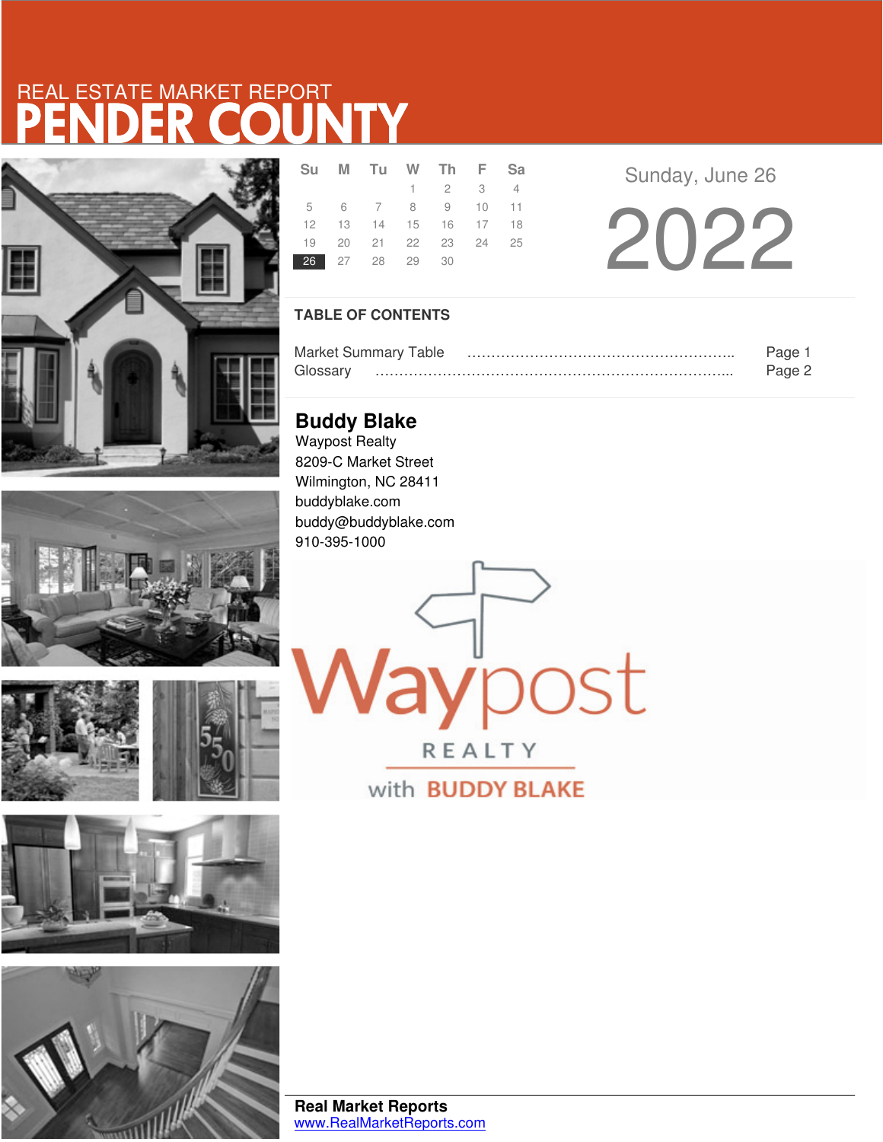# **JNT** REAL ESTATE MARKET REPORT











|                | Su M Tu W Th F Sa          |                             |  |  |
|----------------|----------------------------|-----------------------------|--|--|
|                |                            | $1 \quad 2 \quad 3 \quad 4$ |  |  |
|                | 5 6 7 8 9 10 11            |                             |  |  |
|                | 12  13  14  15  16  17  18 |                             |  |  |
|                | 19 20 21 22 23 24 25       |                             |  |  |
| 26 27 28 29 30 |                            |                             |  |  |

Sunday, June 26

2022

## **TABLE OF CONTENTS**

| <b>Market Summary Table</b> |  |
|-----------------------------|--|
| FINCCAN                     |  |

aypost

REALTY

with **BUDDY BLAKE** 

**Buddy Blake** Waypost Realty 8209-C Market Street Wilmington, NC 28411 buddyblake.com buddy@buddyblake.com 910-395-1000

**Real Market Reports** www.RealMarketReports.com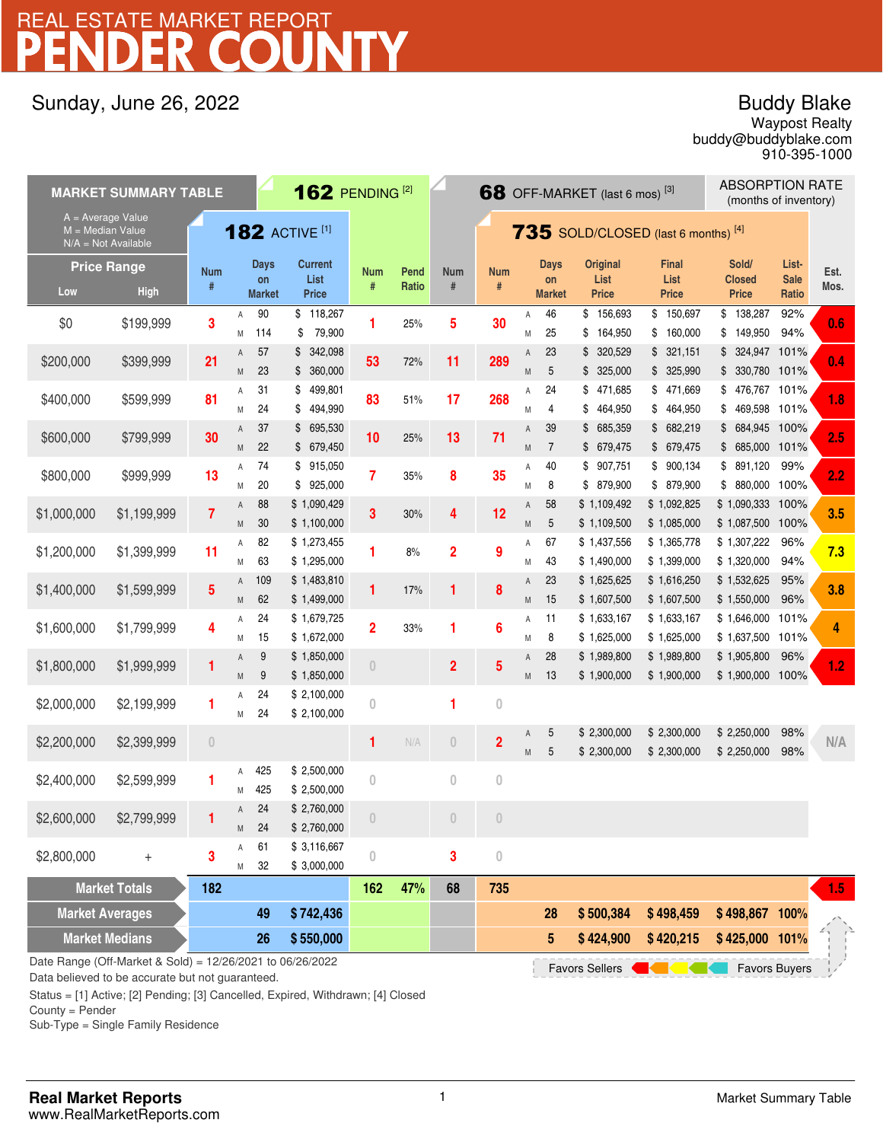# PENDER COUNTY REAL ESTATE MARKET REPORT

## Sunday, June 26, 2022

## Buddy Blake

buddy@buddyblake.com Waypost Realty 910-395-1000

| <b>MARKET SUMMARY TABLE</b>                                                                         |                    |                 |                       |                     | <b>162 PENDING [2]</b>    |                                       |                                              |                  |                  |        |                     | 68 OFF-MARKET (last 6 mos) <sup>[3]</sup> |                         | <b>ABSORPTION RATE</b><br>(months of inventory) |                      |      |
|-----------------------------------------------------------------------------------------------------|--------------------|-----------------|-----------------------|---------------------|---------------------------|---------------------------------------|----------------------------------------------|------------------|------------------|--------|---------------------|-------------------------------------------|-------------------------|-------------------------------------------------|----------------------|------|
| $A = Average Value$<br>$M = Median Value$<br>$N/A = Not Available$                                  |                    |                 | <b>182 ACTIVE [1]</b> |                     |                           |                                       | <b>735</b> SOLD/CLOSED (last 6 months) $[4]$ |                  |                  |        |                     |                                           |                         |                                                 |                      |      |
|                                                                                                     | <b>Price Range</b> | <b>Num</b>      |                       | <b>Days</b>         | <b>Current</b>            | <b>Num</b>                            | Pend                                         | <b>Num</b>       | <b>Num</b>       |        | <b>Days</b>         | <b>Original</b>                           | <b>Final</b>            | Sold/                                           | List-                | Est. |
| Low                                                                                                 | <b>High</b>        |                 |                       | on<br><b>Market</b> | List<br><b>Price</b>      | #                                     | Ratio                                        | $\#$             | #                |        | on<br><b>Market</b> | List<br><b>Price</b>                      | List<br><b>Price</b>    | <b>Closed</b><br><b>Price</b>                   | <b>Sale</b><br>Ratio | Mos. |
| \$0                                                                                                 | \$199,999          | 3               | Α                     | 90<br>114           | \$118,267                 | 1                                     | 25%                                          | 5                | 30               | Α      | 46<br>25            | \$156,693<br>164,950                      | \$150,697<br>160,000    | \$138,287<br>149,950                            | 92%<br>94%           | 0.6  |
|                                                                                                     |                    |                 | Μ<br>Α                | 57                  | 79,900<br>\$<br>\$342,098 |                                       |                                              |                  |                  | M<br>Α | 23                  | \$<br>\$ 320,529                          | \$<br>\$321,151         | \$<br>\$<br>324,947 101%                        |                      |      |
| \$200,000                                                                                           | \$399,999          | 21              | M                     | 23                  | \$360,000                 | 53                                    | 72%                                          | 11               | 289              | M      | 5                   | \$325,000                                 | \$ 325,990              | 330,780 101%<br>\$                              |                      | 0.4  |
| \$400,000                                                                                           | \$599,999          | 81              | Α                     | 31                  | 499,801<br>\$             | 83                                    | 51%                                          | 17               | 268              | Α      | 24                  | \$<br>471,685                             | \$471,669               | \$<br>476,767 101%                              |                      | 1.8  |
|                                                                                                     |                    |                 | M                     | 24                  | 494,990<br>\$             |                                       |                                              |                  |                  | M      | 4                   | 464,950<br>\$                             | \$464,950               | 469,598 101%<br>\$                              |                      |      |
| \$600,000                                                                                           | \$799,999          | 30              | Α                     | 37                  | \$695,530                 | 10                                    | 25%                                          | 13               | 71               | A      | 39                  | \$ 685,359                                | \$682,219               | \$ 684,945 100%                                 |                      | 2.5  |
|                                                                                                     |                    |                 | M                     | 22                  | \$679,450                 |                                       |                                              |                  |                  | M      | $\overline{7}$      | \$ 679,475                                | \$679,475               | \$ 685,000 101%                                 |                      |      |
| \$800,000                                                                                           | \$999,999          | 13              | Α                     | 74<br>20            | \$915,050<br>\$925,000    | 7                                     | 35%                                          | 8                | 35               | Α      | 40<br>8             | 907,751<br>\$<br>\$ 879,900               | \$900,134<br>\$ 879,900 | \$891,120<br>\$ 880,000                         | 99%<br>100%          | 2.2  |
|                                                                                                     |                    |                 | M<br>Α                | 88                  | \$1,090,429               |                                       |                                              |                  |                  | M<br>A | 58                  | \$1,109,492                               | \$1,092,825             | \$1,090,333 100%                                |                      |      |
| \$1,000,000                                                                                         | \$1,199,999        | $\overline{7}$  | M                     | 30                  | \$1,100,000               | 3                                     | 30%                                          | 4                | 12               | M      | 5                   | \$1,109,500                               | \$1,085,000             | \$1,087,500 100%                                |                      | 3.5  |
|                                                                                                     |                    |                 | Α                     | 82                  | \$1,273,455               |                                       |                                              |                  |                  | Α      | 67                  | \$1,437,556                               | \$1,365,778             | \$1,307,222                                     | 96%                  |      |
| \$1,200,000                                                                                         | \$1,399,999        | 11              | Μ                     | 63                  | \$1,295,000               |                                       | 8%                                           | $\overline{2}$   | 9                | М      | 43                  | \$1,490,000                               | \$1,399,000             | \$1,320,000                                     | 94%                  | 7.3  |
|                                                                                                     |                    |                 | A                     | 109                 | \$1,483,810               |                                       |                                              |                  |                  | A      | 23                  | \$1,625,625                               | \$1,616,250             | \$1,532,625                                     | 95%                  |      |
| \$1,400,000                                                                                         | \$1,599,999        | $5\phantom{.0}$ | M                     | 62                  | \$1,499,000               | 1                                     | 17%                                          | 1                | 8                | M      | 15                  | \$1,607,500                               | \$1,607,500             | \$1,550,000                                     | 96%                  | 3.8  |
|                                                                                                     |                    |                 | Α                     | 24                  | \$1,679,725               |                                       |                                              |                  |                  | Α      | 11                  | \$1,633,167                               | \$1,633,167             | \$1,646,000                                     | 101%                 |      |
| \$1,600,000                                                                                         | \$1,799,999        | 4               | Μ                     | 15                  | \$1,672,000               | $\overline{2}$                        | 33%                                          | 1                | 6                | M      | 8                   | \$1,625,000                               | \$1,625,000             | \$1,637,500 101%                                |                      | 4    |
|                                                                                                     |                    |                 | Α                     | 9                   | \$1,850,000               |                                       |                                              |                  |                  | Α      | 28                  | \$1,989,800                               | \$1,989,800             | \$1,905,800                                     | 96%                  |      |
| \$1,800,000                                                                                         | \$1,999,999        | 1               | M                     | 9                   | \$1,850,000               | $\overline{0}$                        |                                              | $\overline{2}$   | 5                | M      | 13                  | \$1,900,000                               | \$1,900,000             | \$1,900,000                                     | 100%                 | 1.2  |
| \$2,000,000                                                                                         | \$2,199,999        | 1               | Α                     | 24                  | \$2,100,000               | $\theta$                              |                                              | 1                | $\mathbf{0}$     |        |                     |                                           |                         |                                                 |                      |      |
|                                                                                                     |                    |                 | М                     | 24                  | \$2,100,000               |                                       |                                              |                  |                  |        |                     |                                           |                         |                                                 |                      |      |
| \$2,200,000                                                                                         | \$2,399,999        | $\theta$        |                       |                     |                           | 1                                     | N/A                                          | $\overline{0}$   | $\overline{2}$   | Α      | 5                   | \$2,300,000                               | \$2,300,000             | \$2,250,000                                     | 98%                  | N/A  |
|                                                                                                     |                    |                 |                       |                     |                           |                                       |                                              |                  |                  | M      | 5                   | \$2,300,000                               | \$2,300,000             | \$2,250,000                                     | 98%                  |      |
| \$2,400,000                                                                                         | \$2,599,999        | 1               | Α                     | 425                 | \$2,500,000               | $\overline{0}$                        |                                              | $\boldsymbol{0}$ | $\boldsymbol{0}$ |        |                     |                                           |                         |                                                 |                      |      |
|                                                                                                     |                    |                 | M                     | 425                 | \$2,500,000               |                                       |                                              |                  |                  |        |                     |                                           |                         |                                                 |                      |      |
| \$2,600,000                                                                                         | \$2,799,999        | 1               | Α                     | 24                  | \$2,760,000               | $\begin{array}{c} 0 \\ 0 \end{array}$ |                                              | $\overline{0}$   | $\theta$         |        |                     |                                           |                         |                                                 |                      |      |
|                                                                                                     |                    |                 | M                     | 24                  | \$2,760,000               |                                       |                                              |                  |                  |        |                     |                                           |                         |                                                 |                      |      |
| \$2,800,000                                                                                         | $^{+}$             | 3               | A                     | 61                  | \$3,116,667               | $\theta$                              |                                              | 3                | $\boldsymbol{0}$ |        |                     |                                           |                         |                                                 |                      |      |
|                                                                                                     |                    |                 | Μ                     | 32                  | \$3,000,000               |                                       |                                              |                  |                  |        |                     |                                           |                         |                                                 |                      |      |
| <b>Market Totals</b><br><b>Market Averages</b>                                                      |                    | 182             |                       | 49                  | \$742,436                 | 162                                   | 47%                                          | 68               | 735              |        | 28                  | \$500,384                                 | \$498,459               | \$498,867 100%                                  |                      | 1.5  |
|                                                                                                     |                    |                 |                       |                     |                           |                                       |                                              |                  |                  |        |                     |                                           |                         |                                                 |                      |      |
| <b>Market Medians</b>                                                                               |                    |                 |                       | 26                  | \$550,000                 |                                       |                                              |                  |                  |        | 5                   | \$424,900                                 | \$420,215               | \$425,000 101%                                  |                      |      |
| Date Range (Off-Market & Sold) = 12/26/2021 to 06/26/2022<br>Favors Buyers<br><b>Favors Sellers</b> |                    |                 |                       |                     |                           |                                       |                                              |                  |                  |        |                     |                                           |                         |                                                 |                      |      |

Data believed to be accurate but not guaranteed.

Status = [1] Active; [2] Pending; [3] Cancelled, Expired, Withdrawn; [4] Closed

County = Pender

Sub-Type = Single Family Residence